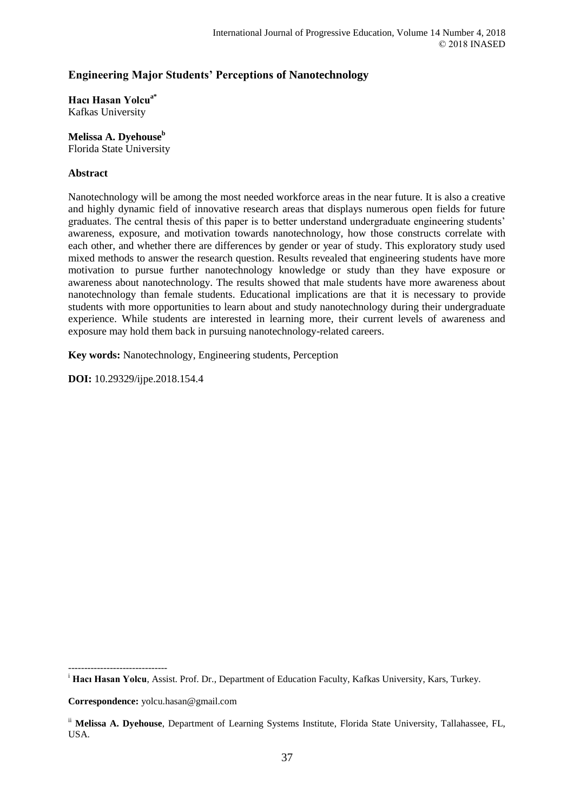# **Engineering Major Students' Perceptions of Nanotechnology**

**Hacı Hasan Yolcua\*** Kafkas University

# **Melissa A. Dyehouse<sup>b</sup>**

Florida State University

## **Abstract**

Nanotechnology will be among the most needed workforce areas in the near future. It is also a creative and highly dynamic field of innovative research areas that displays numerous open fields for future graduates. The central thesis of this paper is to better understand undergraduate engineering students' awareness, exposure, and motivation towards nanotechnology, how those constructs correlate with each other, and whether there are differences by gender or year of study. This exploratory study used mixed methods to answer the research question. Results revealed that engineering students have more motivation to pursue further nanotechnology knowledge or study than they have exposure or awareness about nanotechnology. The results showed that male students have more awareness about nanotechnology than female students. Educational implications are that it is necessary to provide students with more opportunities to learn about and study nanotechnology during their undergraduate experience. While students are interested in learning more, their current levels of awareness and exposure may hold them back in pursuing nanotechnology-related careers.

**Key words:** Nanotechnology, Engineering students, Perception

**DOI:** 10.29329/ijpe.2018.154.4

<sup>i</sup> **Hacı Hasan Yolcu**, Assist. Prof. Dr., Department of Education Faculty, Kafkas University, Kars, Turkey.

**Correspondence:** yolcu.hasan@gmail.com

-------------------------------

ii **Melissa A. Dyehouse**, Department of Learning Systems Institute, Florida State University, Tallahassee, FL, USA.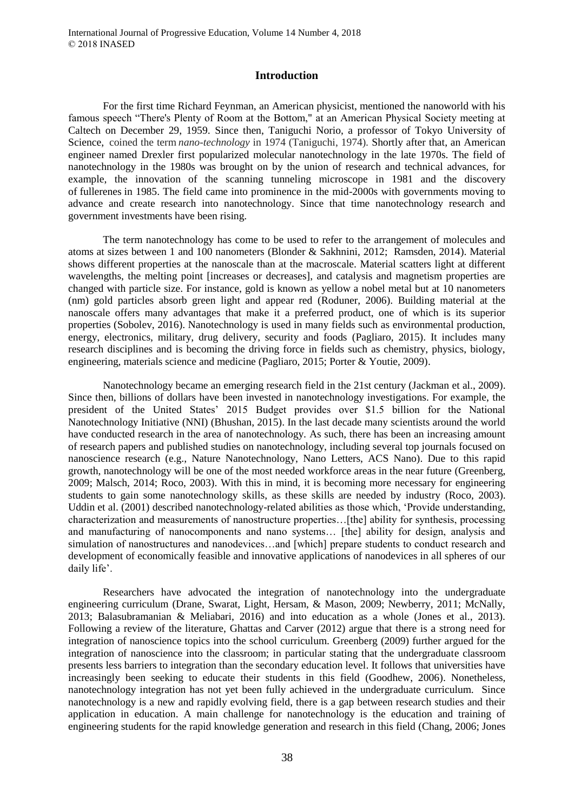## **Introduction**

For the first time Richard Feynman, an American physicist, mentioned the nanoworld with his famous speech "There's Plenty of Room at the Bottom," at an American Physical Society meeting at Caltech on December 29, 1959. Since then, Taniguchi Norio, a professor of Tokyo University of Science, coined the term *nano-technology* in 1974 (Taniguchi, 1974)*.* Shortly after that, an American engineer named Drexler first popularized molecular nanotechnology in the late 1970s. The field of nanotechnology in the 1980s was brought on by the union of research and technical advances, for example, the innovation of the scanning tunneling microscope in 1981 and the discovery of fullerenes in 1985. The field came into prominence in the mid-2000s with governments moving to advance and create research into nanotechnology. Since that time nanotechnology research and government investments have been rising.

The term nanotechnology has come to be used to refer to the arrangement of molecules and atoms at sizes between 1 and 100 nanometers (Blonder & Sakhnini, 2012; Ramsden, 2014). Material shows different properties at the nanoscale than at the macroscale. Material scatters light at different wavelengths, the melting point [increases or decreases], and catalysis and magnetism properties are changed with particle size. For instance, gold is known as yellow a nobel metal but at 10 nanometers (nm) gold particles absorb green light and appear red (Roduner, 2006). Building material at the nanoscale offers many advantages that make it a preferred product, one of which is its superior properties (Sobolev, 2016). Nanotechnology is used in many fields such as environmental production, energy, electronics, military, drug delivery, security and foods (Pagliaro, 2015). It includes many research disciplines and is becoming the driving force in fields such as chemistry, physics, biology, engineering, materials science and medicine (Pagliaro, 2015; Porter & Youtie, 2009).

Nanotechnology became an emerging research field in the 21st century (Jackman et al., 2009). Since then, billions of dollars have been invested in nanotechnology investigations. For example, the president of the United States' 2015 Budget provides over \$1.5 billion for the National Nanotechnology Initiative (NNI) (Bhushan, 2015). In the last decade many scientists around the world have conducted research in the area of nanotechnology. As such, there has been an increasing amount of research papers and published studies on nanotechnology, including several top journals focused on nanoscience research (e.g., Nature Nanotechnology, Nano Letters, ACS Nano). Due to this rapid growth, nanotechnology will be one of the most needed workforce areas in the near future (Greenberg, 2009; Malsch, 2014; Roco, 2003). With this in mind, it is becoming more necessary for engineering students to gain some nanotechnology skills, as these skills are needed by industry (Roco, 2003). Uddin et al. (2001) described nanotechnology-related abilities as those which, 'Provide understanding, characterization and measurements of nanostructure properties…[the] ability for synthesis, processing and manufacturing of nanocomponents and nano systems… [the] ability for design, analysis and simulation of nanostructures and nanodevices…and [which] prepare students to conduct research and development of economically feasible and innovative applications of nanodevices in all spheres of our daily life'.

Researchers have advocated the integration of nanotechnology into the undergraduate engineering curriculum (Drane, Swarat, Light, Hersam, & Mason, 2009; Newberry, 2011; McNally, 2013; Balasubramanian & Meliabari, 2016) and into education as a whole (Jones et al., 2013). Following a review of the literature, Ghattas and Carver (2012) argue that there is a strong need for integration of nanoscience topics into the school curriculum. Greenberg (2009) further argued for the integration of nanoscience into the classroom; in particular stating that the undergraduate classroom presents less barriers to integration than the secondary education level. It follows that universities have increasingly been seeking to educate their students in this field (Goodhew, 2006). Nonetheless, nanotechnology integration has not yet been fully achieved in the undergraduate curriculum. Since nanotechnology is a new and rapidly evolving field, there is a gap between research studies and their application in education. A main challenge for nanotechnology is the education and training of engineering students for the rapid knowledge generation and research in this field (Chang, 2006; Jones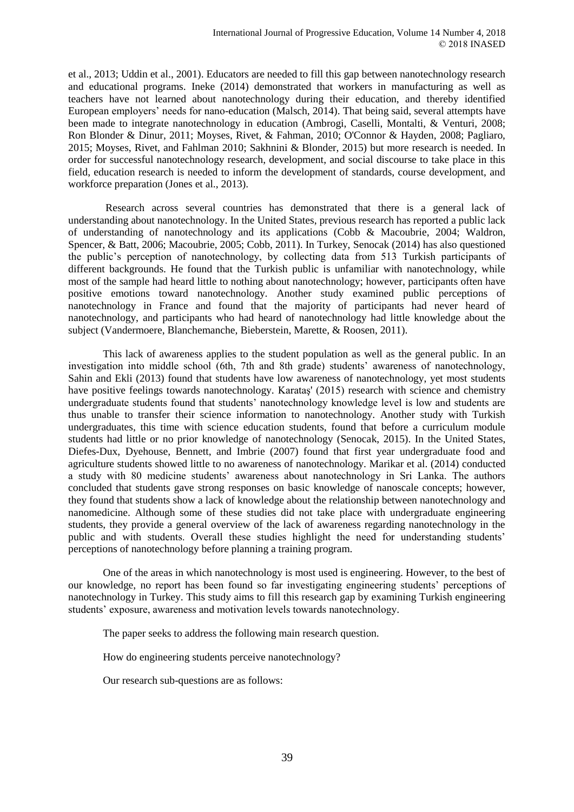et al., 2013; Uddin et al., 2001). Educators are needed to fill this gap between nanotechnology research and educational programs. Ineke (2014) demonstrated that workers in manufacturing as well as teachers have not learned about nanotechnology during their education, and thereby identified European employers' needs for nano-education (Malsch, 2014). That being said, several attempts have been made to integrate nanotechnology in education (Ambrogi, Caselli, Montalti, & Venturi, 2008; Ron Blonder & Dinur, 2011; Moyses, Rivet, & Fahman, 2010; O'Connor & Hayden, 2008; Pagliaro, 2015; Moyses, Rivet, and Fahlman 2010; Sakhnini & Blonder, 2015) but more research is needed. In order for successful nanotechnology research, development, and social discourse to take place in this field, education research is needed to inform the development of standards, course development, and workforce preparation (Jones et al., 2013).

Research across several countries has demonstrated that there is a general lack of understanding about nanotechnology. In the United States, previous research has reported a public lack of understanding of nanotechnology and its applications (Cobb & Macoubrie, 2004; Waldron, Spencer, & Batt, 2006; Macoubrie, 2005; Cobb, 2011). In Turkey, Senocak (2014) has also questioned the public's perception of nanotechnology, by collecting data from 513 Turkish participants of different backgrounds. He found that the Turkish public is unfamiliar with nanotechnology, while most of the sample had heard little to nothing about nanotechnology; however, participants often have positive emotions toward nanotechnology. Another study examined public perceptions of nanotechnology in France and found that the majority of participants had never heard of nanotechnology, and participants who had heard of nanotechnology had little knowledge about the subject (Vandermoere, Blanchemanche, Bieberstein, Marette, & Roosen, 2011).

This lack of awareness applies to the student population as well as the general public. In an investigation into middle school (6th, 7th and 8th grade) students' awareness of nanotechnology, Sahin and Ekli (2013) found that students have low awareness of nanotechnology, yet most students have positive feelings towards nanotechnology. Karataş' (2015) research with science and chemistry undergraduate students found that students' nanotechnology knowledge level is low and students are thus unable to transfer their science information to nanotechnology. Another study with Turkish undergraduates, this time with science education students, found that before a curriculum module students had little or no prior knowledge of nanotechnology (Senocak, 2015). In the United States, Diefes-Dux, Dyehouse, Bennett, and Imbrie (2007) found that first year undergraduate food and agriculture students showed little to no awareness of nanotechnology. Marikar et al. (2014) conducted a study with 80 medicine students' awareness about nanotechnology in Sri Lanka. The authors concluded that students gave strong responses on basic knowledge of nanoscale concepts; however, they found that students show a lack of knowledge about the relationship between nanotechnology and nanomedicine. Although some of these studies did not take place with undergraduate engineering students, they provide a general overview of the lack of awareness regarding nanotechnology in the public and with students. Overall these studies highlight the need for understanding students' perceptions of nanotechnology before planning a training program.

One of the areas in which nanotechnology is most used is engineering. However, to the best of our knowledge, no report has been found so far investigating engineering students' perceptions of nanotechnology in Turkey. This study aims to fill this research gap by examining Turkish engineering students' exposure, awareness and motivation levels towards nanotechnology.

The paper seeks to address the following main research question.

How do engineering students perceive nanotechnology?

Our research sub-questions are as follows: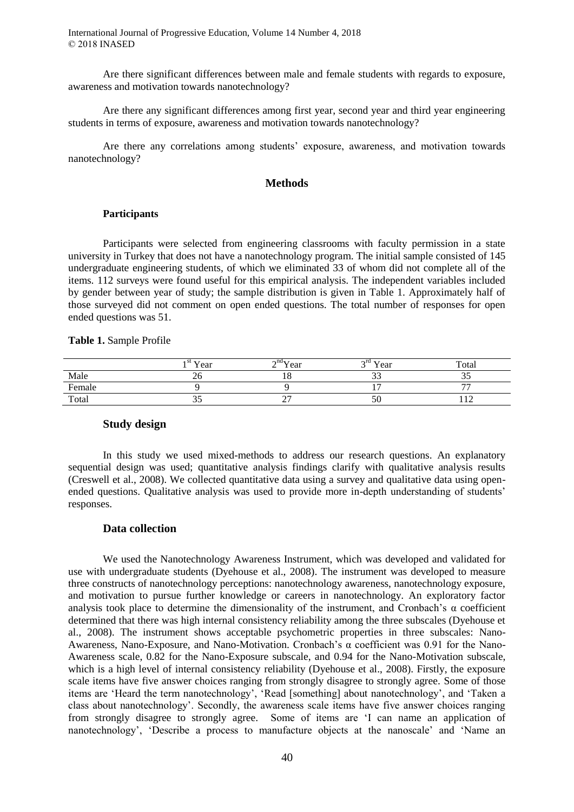International Journal of Progressive Education, Volume 14 Number 4, 2018 © 2018 INASED

Are there significant differences between male and female students with regards to exposure, awareness and motivation towards nanotechnology?

Are there any significant differences among first year, second year and third year engineering students in terms of exposure, awareness and motivation towards nanotechnology?

Are there any correlations among students' exposure, awareness, and motivation towards nanotechnology?

#### **Methods**

#### **Participants**

Participants were selected from engineering classrooms with faculty permission in a state university in Turkey that does not have a nanotechnology program. The initial sample consisted of 145 undergraduate engineering students, of which we eliminated 33 of whom did not complete all of the items. 112 surveys were found useful for this empirical analysis. The independent variables included by gender between year of study; the sample distribution is given in Table 1. Approximately half of those surveyed did not comment on open ended questions. The total number of responses for open ended questions was 51.

**Table 1.** Sample Profile

|        | 1 <sup>st</sup> Year | $\sqrt{d}Y$ ear          | $\gamma$ <sup>rd</sup> Year | Total                    |
|--------|----------------------|--------------------------|-----------------------------|--------------------------|
| Male   | 20                   | 1 O                      | ັບ                          | ັບ                       |
| Female |                      |                          | $\overline{ }$              | $\overline{\phantom{a}}$ |
| Total  | ر ر                  | $\overline{\phantom{0}}$ | 50                          | $\overline{1}$           |

### **Study design**

In this study we used mixed-methods to address our research questions. An explanatory sequential design was used; quantitative analysis findings clarify with qualitative analysis results (Creswell et al., 2008). We collected quantitative data using a survey and qualitative data using openended questions. Qualitative analysis was used to provide more in-depth understanding of students' responses.

## **Data collection**

We used the Nanotechnology Awareness Instrument, which was developed and validated for use with undergraduate students (Dyehouse et al., 2008). The instrument was developed to measure three constructs of nanotechnology perceptions: nanotechnology awareness, nanotechnology exposure, and motivation to pursue further knowledge or careers in nanotechnology. An exploratory factor analysis took place to determine the dimensionality of the instrument, and Cronbach's  $\alpha$  coefficient determined that there was high internal consistency reliability among the three subscales (Dyehouse et al., 2008). The instrument shows acceptable psychometric properties in three subscales: Nano-Awareness, Nano-Exposure, and Nano-Motivation. Cronbach's α coefficient was 0.91 for the Nano-Awareness scale, 0.82 for the Nano-Exposure subscale, and 0.94 for the Nano-Motivation subscale, which is a high level of internal consistency reliability (Dyehouse et al., 2008). Firstly, the exposure scale items have five answer choices ranging from strongly disagree to strongly agree. Some of those items are 'Heard the term nanotechnology', 'Read [something] about nanotechnology', and 'Taken a class about nanotechnology'. Secondly, the awareness scale items have five answer choices ranging from strongly disagree to strongly agree. Some of items are 'I can name an application of nanotechnology', 'Describe a process to manufacture objects at the nanoscale' and 'Name an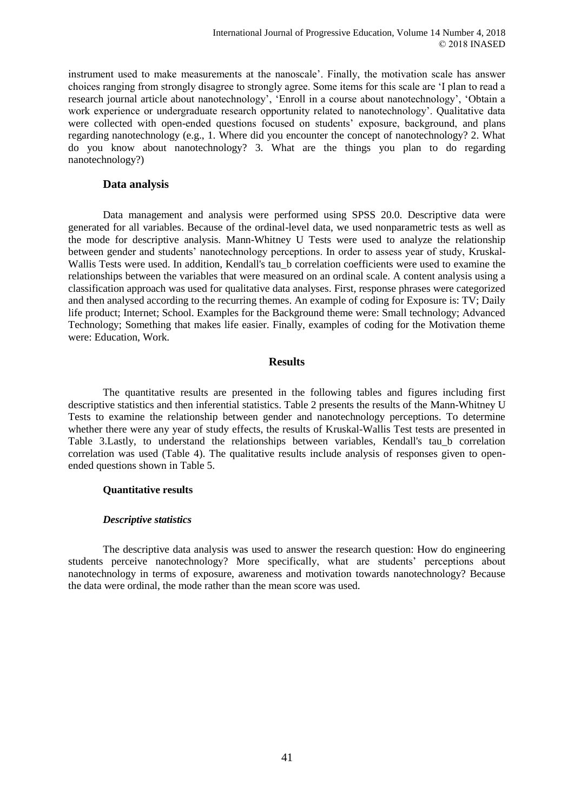instrument used to make measurements at the nanoscale'. Finally, the motivation scale has answer choices ranging from strongly disagree to strongly agree. Some items for this scale are 'I plan to read a research journal article about nanotechnology', 'Enroll in a course about nanotechnology', 'Obtain a work experience or undergraduate research opportunity related to nanotechnology'. Qualitative data were collected with open-ended questions focused on students' exposure, background, and plans regarding nanotechnology (e.g., 1. Where did you encounter the concept of nanotechnology? 2. What do you know about nanotechnology? 3. What are the things you plan to do regarding nanotechnology?)

## **Data analysis**

Data management and analysis were performed using SPSS 20.0. Descriptive data were generated for all variables. Because of the ordinal-level data, we used nonparametric tests as well as the mode for descriptive analysis. Mann-Whitney U Tests were used to analyze the relationship between gender and students' nanotechnology perceptions. In order to assess year of study, Kruskal-Wallis Tests were used. In addition, Kendall's tau b correlation coefficients were used to examine the relationships between the variables that were measured on an ordinal scale. A content analysis using a classification approach was used for qualitative data analyses. First, response phrases were categorized and then analysed according to the recurring themes. An example of coding for Exposure is: TV; Daily life product; Internet; School. Examples for the Background theme were: Small technology; Advanced Technology; Something that makes life easier. Finally, examples of coding for the Motivation theme were: Education, Work.

## **Results**

The quantitative results are presented in the following tables and figures including first descriptive statistics and then inferential statistics. Table 2 presents the results of the Mann-Whitney U Tests to examine the relationship between gender and nanotechnology perceptions. To determine whether there were any year of study effects, the results of Kruskal-Wallis Test tests are presented in Table 3.Lastly, to understand the relationships between variables, Kendall's tau\_b correlation correlation was used (Table 4). The qualitative results include analysis of responses given to openended questions shown in Table 5.

## **Quantitative results**

## *Descriptive statistics*

The descriptive data analysis was used to answer the research question: How do engineering students perceive nanotechnology? More specifically, what are students' perceptions about nanotechnology in terms of exposure, awareness and motivation towards nanotechnology? Because the data were ordinal, the mode rather than the mean score was used.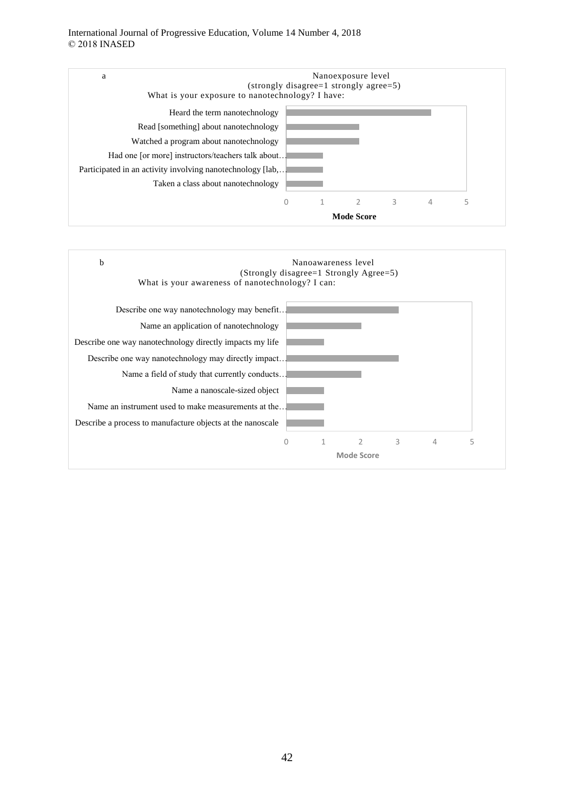#### International Journal of Progressive Education, Volume 14 Number 4, 2018 © 2018 INASED



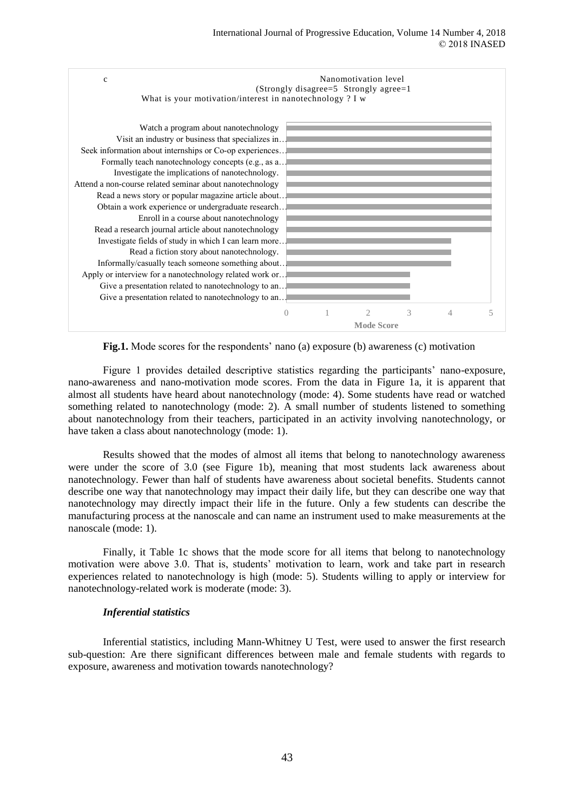

**Fig.1.** Mode scores for the respondents' nano (a) exposure (b) awareness (c) motivation

Figure 1 provides detailed descriptive statistics regarding the participants' nano-exposure, nano-awareness and nano-motivation mode scores. From the data in Figure 1a, it is apparent that almost all students have heard about nanotechnology (mode: 4). Some students have read or watched something related to nanotechnology (mode: 2). A small number of students listened to something about nanotechnology from their teachers, participated in an activity involving nanotechnology, or have taken a class about nanotechnology (mode: 1).

Results showed that the modes of almost all items that belong to nanotechnology awareness were under the score of 3.0 (see Figure 1b), meaning that most students lack awareness about nanotechnology. Fewer than half of students have awareness about societal benefits. Students cannot describe one way that nanotechnology may impact their daily life, but they can describe one way that nanotechnology may directly impact their life in the future. Only a few students can describe the manufacturing process at the nanoscale and can name an instrument used to make measurements at the nanoscale (mode: 1).

Finally, it Table 1c shows that the mode score for all items that belong to nanotechnology motivation were above 3.0. That is, students' motivation to learn, work and take part in research experiences related to nanotechnology is high (mode: 5). Students willing to apply or interview for nanotechnology-related work is moderate (mode: 3).

## *Inferential statistics*

Inferential statistics, including Mann-Whitney U Test, were used to answer the first research sub-question: Are there significant differences between male and female students with regards to exposure, awareness and motivation towards nanotechnology?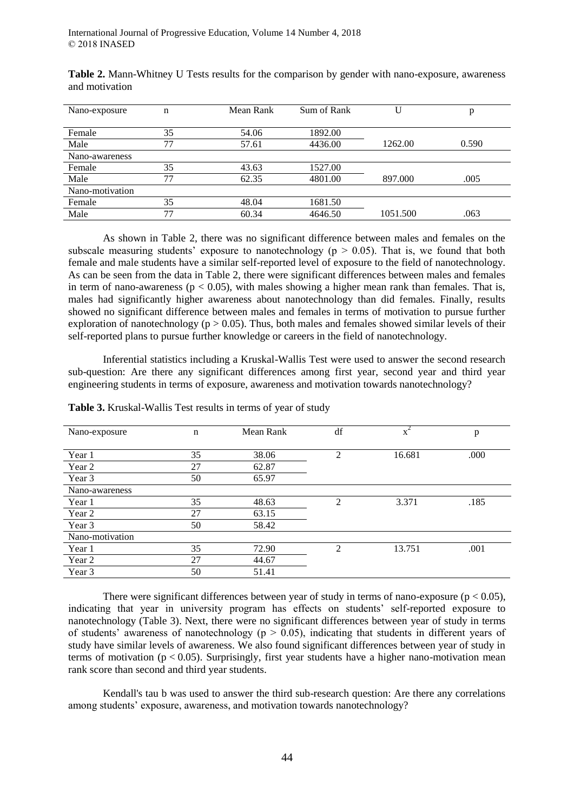| Nano-exposure   | n  | Mean Rank | Sum of Rank | U        | p     |
|-----------------|----|-----------|-------------|----------|-------|
|                 |    |           |             |          |       |
| Female          | 35 | 54.06     | 1892.00     |          |       |
| Male            | 77 | 57.61     | 4436.00     | 1262.00  | 0.590 |
| Nano-awareness  |    |           |             |          |       |
| Female          | 35 | 43.63     | 1527.00     |          |       |
| Male            | 77 | 62.35     | 4801.00     | 897.000  | .005  |
| Nano-motivation |    |           |             |          |       |
| Female          | 35 | 48.04     | 1681.50     |          |       |
| Male            | 77 | 60.34     | 4646.50     | 1051.500 | .063  |

**Table 2.** Mann-Whitney U Tests results for the comparison by gender with nano-exposure, awareness and motivation

As shown in Table 2, there was no significant difference between males and females on the subscale measuring students' exposure to nanotechnology ( $p > 0.05$ ). That is, we found that both female and male students have a similar self-reported level of exposure to the field of nanotechnology. As can be seen from the data in Table 2, there were significant differences between males and females in term of nano-awareness ( $p < 0.05$ ), with males showing a higher mean rank than females. That is, males had significantly higher awareness about nanotechnology than did females. Finally, results showed no significant difference between males and females in terms of motivation to pursue further exploration of nanotechnology ( $p > 0.05$ ). Thus, both males and females showed similar levels of their self-reported plans to pursue further knowledge or careers in the field of nanotechnology.

Inferential statistics including a Kruskal-Wallis Test were used to answer the second research sub-question: Are there any significant differences among first year, second year and third year engineering students in terms of exposure, awareness and motivation towards nanotechnology?

| Nano-exposure   | n  | Mean Rank | df | $X^2$  | p    |
|-----------------|----|-----------|----|--------|------|
| Year 1          | 35 | 38.06     | 2  | 16.681 | .000 |
| Year 2          | 27 | 62.87     |    |        |      |
| Year 3          | 50 | 65.97     |    |        |      |
| Nano-awareness  |    |           |    |        |      |
| Year 1          | 35 | 48.63     | 2  | 3.371  | .185 |
| Year 2          | 27 | 63.15     |    |        |      |
| Year 3          | 50 | 58.42     |    |        |      |
| Nano-motivation |    |           |    |        |      |
| Year 1          | 35 | 72.90     | 2  | 13.751 | .001 |
| Year 2          | 27 | 44.67     |    |        |      |
| Year 3          | 50 | 51.41     |    |        |      |

**Table 3.** Kruskal-Wallis Test results in terms of year of study

There were significant differences between year of study in terms of nano-exposure ( $p < 0.05$ ), indicating that year in university program has effects on students' self-reported exposure to nanotechnology (Table 3). Next, there were no significant differences between year of study in terms of students' awareness of nanotechnology ( $p > 0.05$ ), indicating that students in different years of study have similar levels of awareness. We also found significant differences between year of study in terms of motivation ( $p < 0.05$ ). Surprisingly, first year students have a higher nano-motivation mean rank score than second and third year students.

Kendall's tau b was used to answer the third sub-research question: Are there any correlations among students' exposure, awareness, and motivation towards nanotechnology?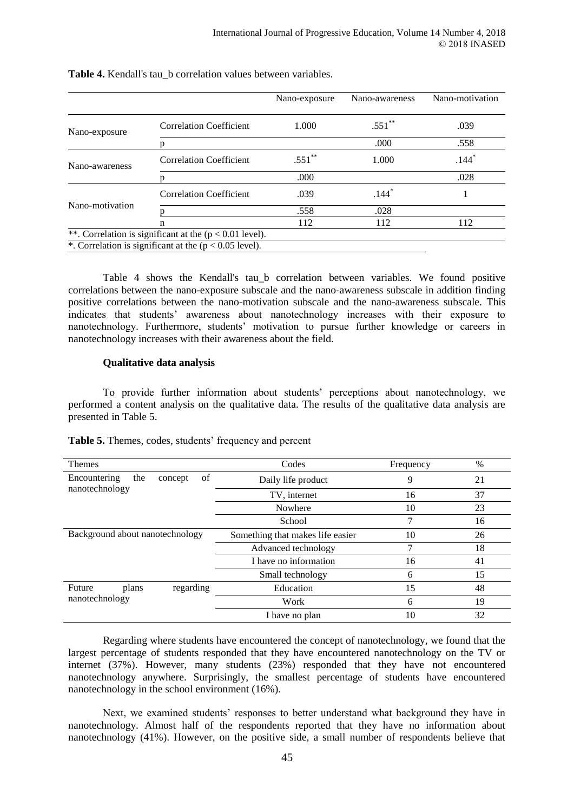|                 |                                                           | Nano-exposure | Nano-awareness | Nano-motivation |
|-----------------|-----------------------------------------------------------|---------------|----------------|-----------------|
| Nano-exposure   | <b>Correlation Coefficient</b>                            | 1.000         | $.551$ **      | .039            |
|                 |                                                           |               | .000           | .558            |
| Nano-awareness  | <b>Correlation Coefficient</b>                            | $.551$ **     | 1.000          | $.144*$         |
|                 |                                                           | .000          |                | .028            |
|                 | <b>Correlation Coefficient</b>                            | .039          | $.144*$        |                 |
| Nano-motivation |                                                           | .558          | .028           |                 |
|                 | n                                                         | 112           | 112            | 112             |
|                 | **. Correlation is significant at the $(p < 0.01$ level). |               |                |                 |
|                 | *. Correlation is significant at the $(p < 0.05$ level).  |               |                |                 |

**Table 4.** Kendall's tau\_b correlation values between variables.

Table 4 shows the Kendall's tau\_b correlation between variables. We found positive correlations between the nano-exposure subscale and the nano-awareness subscale in addition finding positive correlations between the nano-motivation subscale and the nano-awareness subscale. This indicates that students' awareness about nanotechnology increases with their exposure to nanotechnology. Furthermore, students' motivation to pursue further knowledge or careers in nanotechnology increases with their awareness about the field.

### **Qualitative data analysis**

To provide further information about students' perceptions about nanotechnology, we performed a content analysis on the qualitative data. The results of the qualitative data analysis are presented in Table 5.

| Table 5. Themes, codes, students' frequency and percent |  |
|---------------------------------------------------------|--|
|---------------------------------------------------------|--|

| Themes                               | Codes                            | Frequency | %  |
|--------------------------------------|----------------------------------|-----------|----|
| of<br>Encountering<br>the<br>concept | Daily life product               | 9         | 21 |
| nanotechnology                       | TV, internet                     | 16        | 37 |
|                                      | Nowhere                          | 10        | 23 |
|                                      | School                           | 7         | 16 |
| Background about nanotechnology      | Something that makes life easier | 10        | 26 |
|                                      | Advanced technology              |           | 18 |
|                                      | I have no information            | 16        | 41 |
|                                      | Small technology                 | 6         | 15 |
| Future<br>regarding<br>plans         | Education                        | 15        | 48 |
| nanotechnology                       | Work                             | 6         | 19 |
|                                      | I have no plan                   | 10        | 32 |

Regarding where students have encountered the concept of nanotechnology, we found that the largest percentage of students responded that they have encountered nanotechnology on the TV or internet (37%). However, many students (23%) responded that they have not encountered nanotechnology anywhere. Surprisingly, the smallest percentage of students have encountered nanotechnology in the school environment (16%).

Next, we examined students' responses to better understand what background they have in nanotechnology. Almost half of the respondents reported that they have no information about nanotechnology (41%). However, on the positive side, a small number of respondents believe that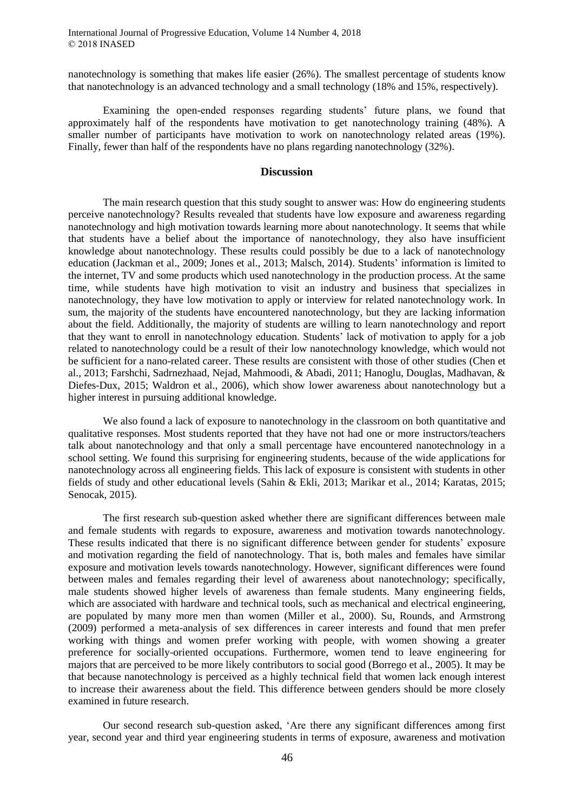nanotechnology is something that makes life easier (26%). The smallest percentage of students know that nanotechnology is an advanced technology and a small technology (18% and 15%, respectively).

Examining the open-ended responses regarding students' future plans, we found that approximately half of the respondents have motivation to get nanotechnology training (48%). A smaller number of participants have motivation to work on nanotechnology related areas (19%). Finally, fewer than half of the respondents have no plans regarding nanotechnology (32%).

### **Discussion**

The main research question that this study sought to answer was: How do engineering students perceive nanotechnology? Results revealed that students have low exposure and awareness regarding nanotechnology and high motivation towards learning more about nanotechnology. It seems that while that students have a belief about the importance of nanotechnology, they also have insufficient knowledge about nanotechnology. These results could possibly be due to a lack of nanotechnology education (Jackman et al., 2009; Jones et al., 2013; Malsch, 2014). Students' information is limited to the internet, TV and some products which used nanotechnology in the production process. At the same time, while students have high motivation to visit an industry and business that specializes in nanotechnology, they have low motivation to apply or interview for related nanotechnology work. In sum, the majority of the students have encountered nanotechnology, but they are lacking information about the field. Additionally, the majority of students are willing to learn nanotechnology and report that they want to enroll in nanotechnology education. Students' lack of motivation to apply for a job related to nanotechnology could be a result of their low nanotechnology knowledge, which would not be sufficient for a nano-related career. These results are consistent with those of other studies (Chen et al., 2013; Farshchi, Sadrnezhaad, Nejad, Mahmoodi, & Abadi, 2011; Hanoglu, Douglas, Madhavan, & Diefes-Dux, 2015; Waldron et al., 2006), which show lower awareness about nanotechnology but a higher interest in pursuing additional knowledge.

We also found a lack of exposure to nanotechnology in the classroom on both quantitative and qualitative responses. Most students reported that they have not had one or more instructors/teachers talk about nanotechnology and that only a small percentage have encountered nanotechnology in a school setting. We found this surprising for engineering students, because of the wide applications for nanotechnology across all engineering fields. This lack of exposure is consistent with students in other fields of study and other educational levels (Sahin & Ekli, 2013; Marikar et al., 2014; Karatas, 2015; Senocak, 2015).

The first research sub-question asked whether there are significant differences between male and female students with regards to exposure, awareness and motivation towards nanotechnology. These results indicated that there is no significant difference between gender for students' exposure and motivation regarding the field of nanotechnology. That is, both males and females have similar exposure and motivation levels towards nanotechnology. However, significant differences were found between males and females regarding their level of awareness about nanotechnology; specifically, male students showed higher levels of awareness than female students. Many engineering fields, which are associated with hardware and technical tools, such as mechanical and electrical engineering, are populated by many more men than women (Miller et al., 2000). Su, Rounds, and Armstrong (2009) performed a meta-analysis of sex differences in career interests and found that men prefer working with things and women prefer working with people, with women showing a greater preference for socially-oriented occupations. Furthermore, women tend to leave engineering for majors that are perceived to be more likely contributors to social good (Borrego et al., 2005). It may be that because nanotechnology is perceived as a highly technical field that women lack enough interest to increase their awareness about the field. This difference between genders should be more closely examined in future research.

Our second research sub-question asked, 'Are there any significant differences among first year, second year and third year engineering students in terms of exposure, awareness and motivation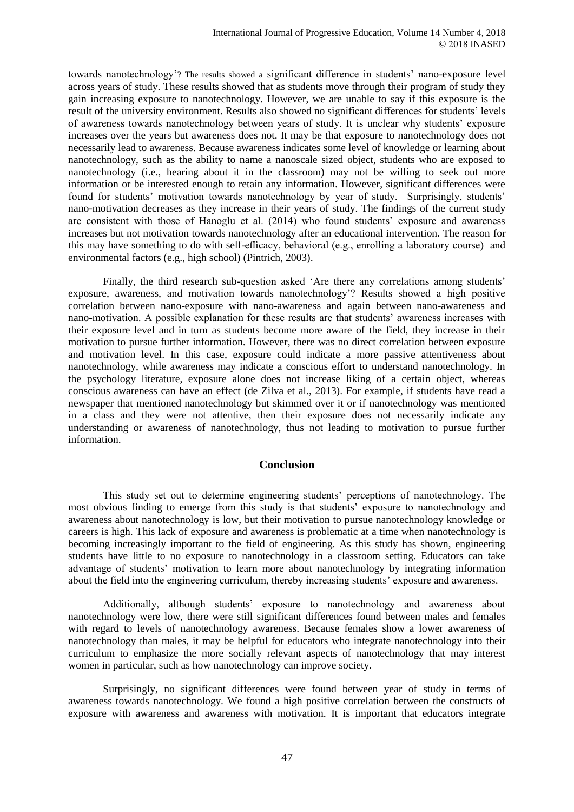towards nanotechnology'? The results showed a significant difference in students' nano-exposure level across years of study. These results showed that as students move through their program of study they gain increasing exposure to nanotechnology. However, we are unable to say if this exposure is the result of the university environment. Results also showed no significant differences for students' levels of awareness towards nanotechnology between years of study. It is unclear why students' exposure increases over the years but awareness does not. It may be that exposure to nanotechnology does not necessarily lead to awareness. Because awareness indicates some level of knowledge or learning about nanotechnology, such as the ability to name a nanoscale sized object, students who are exposed to nanotechnology (i.e., hearing about it in the classroom) may not be willing to seek out more information or be interested enough to retain any information. However, significant differences were found for students' motivation towards nanotechnology by year of study. Surprisingly, students' nano-motivation decreases as they increase in their years of study. The findings of the current study are consistent with those of Hanoglu et al. (2014) who found students' exposure and awareness increases but not motivation towards nanotechnology after an educational intervention. The reason for this may have something to do with self-efficacy, behavioral (e.g., enrolling a laboratory course) and environmental factors (e.g., high school) (Pintrich, 2003).

Finally, the third research sub-question asked 'Are there any correlations among students' exposure, awareness, and motivation towards nanotechnology'? Results showed a high positive correlation between nano-exposure with nano-awareness and again between nano-awareness and nano-motivation. A possible explanation for these results are that students' awareness increases with their exposure level and in turn as students become more aware of the field, they increase in their motivation to pursue further information. However, there was no direct correlation between exposure and motivation level. In this case, exposure could indicate a more passive attentiveness about nanotechnology, while awareness may indicate a conscious effort to understand nanotechnology. In the psychology literature, exposure alone does not increase liking of a certain object, whereas conscious awareness can have an effect (de Zilva et al., 2013). For example, if students have read a newspaper that mentioned nanotechnology but skimmed over it or if nanotechnology was mentioned in a class and they were not attentive, then their exposure does not necessarily indicate any understanding or awareness of nanotechnology, thus not leading to motivation to pursue further information.

## **Conclusion**

This study set out to determine engineering students' perceptions of nanotechnology. The most obvious finding to emerge from this study is that students' exposure to nanotechnology and awareness about nanotechnology is low, but their motivation to pursue nanotechnology knowledge or careers is high. This lack of exposure and awareness is problematic at a time when nanotechnology is becoming increasingly important to the field of engineering. As this study has shown, engineering students have little to no exposure to nanotechnology in a classroom setting. Educators can take advantage of students' motivation to learn more about nanotechnology by integrating information about the field into the engineering curriculum, thereby increasing students' exposure and awareness.

Additionally, although students' exposure to nanotechnology and awareness about nanotechnology were low, there were still significant differences found between males and females with regard to levels of nanotechnology awareness. Because females show a lower awareness of nanotechnology than males, it may be helpful for educators who integrate nanotechnology into their curriculum to emphasize the more socially relevant aspects of nanotechnology that may interest women in particular, such as how nanotechnology can improve society.

Surprisingly, no significant differences were found between year of study in terms of awareness towards nanotechnology. We found a high positive correlation between the constructs of exposure with awareness and awareness with motivation. It is important that educators integrate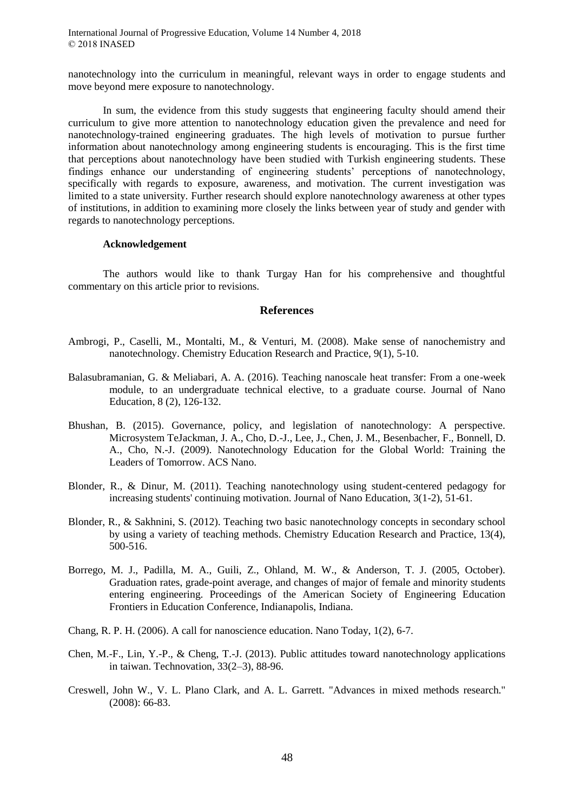nanotechnology into the curriculum in meaningful, relevant ways in order to engage students and move beyond mere exposure to nanotechnology.

In sum, the evidence from this study suggests that engineering faculty should amend their curriculum to give more attention to nanotechnology education given the prevalence and need for nanotechnology-trained engineering graduates. The high levels of motivation to pursue further information about nanotechnology among engineering students is encouraging. This is the first time that perceptions about nanotechnology have been studied with Turkish engineering students. These findings enhance our understanding of engineering students' perceptions of nanotechnology, specifically with regards to exposure, awareness, and motivation. The current investigation was limited to a state university. Further research should explore nanotechnology awareness at other types of institutions, in addition to examining more closely the links between year of study and gender with regards to nanotechnology perceptions.

## **Acknowledgement**

The authors would like to thank Turgay Han for his comprehensive and thoughtful commentary on this article prior to revisions.

## **References**

- Ambrogi, P., Caselli, M., Montalti, M., & Venturi, M. (2008). Make sense of nanochemistry and nanotechnology. Chemistry Education Research and Practice, 9(1), 5-10.
- Balasubramanian, G. & Meliabari, A. A. (2016). Teaching nanoscale heat transfer: From a one-week module, to an undergraduate technical elective, to a graduate course. Journal of Nano Education, 8 (2), 126-132.
- Bhushan, B. (2015). Governance, policy, and legislation of nanotechnology: A perspective. Microsystem TeJackman, J. A., Cho, D.-J., Lee, J., Chen, J. M., Besenbacher, F., Bonnell, D. A., Cho, N.-J. (2009). Nanotechnology Education for the Global World: Training the Leaders of Tomorrow. ACS Nano.
- Blonder, R., & Dinur, M. (2011). Teaching nanotechnology using student-centered pedagogy for increasing students' continuing motivation. Journal of Nano Education, 3(1-2), 51-61.
- Blonder, R., & Sakhnini, S. (2012). Teaching two basic nanotechnology concepts in secondary school by using a variety of teaching methods. Chemistry Education Research and Practice, 13(4), 500-516.
- Borrego, M. J., Padilla, M. A., Guili, Z., Ohland, M. W., & Anderson, T. J. (2005, October). Graduation rates, grade-point average, and changes of major of female and minority students entering engineering. Proceedings of the American Society of Engineering Education Frontiers in Education Conference, Indianapolis, Indiana.
- Chang, R. P. H. (2006). A call for nanoscience education. Nano Today, 1(2), 6-7.
- Chen, M.-F., Lin, Y.-P., & Cheng, T.-J. (2013). Public attitudes toward nanotechnology applications in taiwan. Technovation, 33(2–3), 88-96.
- Creswell, John W., V. L. Plano Clark, and A. L. Garrett. "Advances in mixed methods research." (2008): 66-83.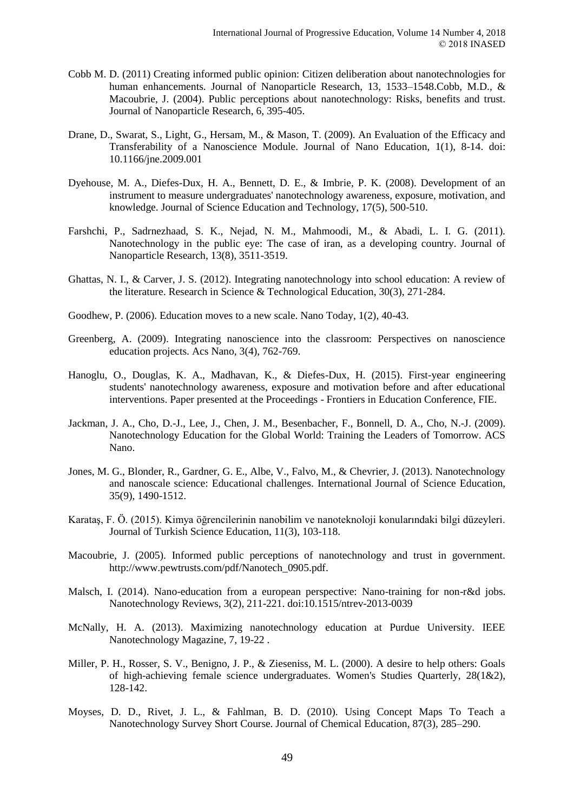- Cobb M. D. (2011) Creating informed public opinion: Citizen deliberation about nanotechnologies for human enhancements. Journal of Nanoparticle Research, 13, 1533–1548.Cobb, M.D., & Macoubrie, J. (2004). Public perceptions about nanotechnology: Risks, benefits and trust. Journal of Nanoparticle Research, 6, 395-405.
- Drane, D., Swarat, S., Light, G., Hersam, M., & Mason, T. (2009). An Evaluation of the Efficacy and Transferability of a Nanoscience Module. Journal of Nano Education, 1(1), 8-14. doi: 10.1166/jne.2009.001
- Dyehouse, M. A., Diefes-Dux, H. A., Bennett, D. E., & Imbrie, P. K. (2008). Development of an instrument to measure undergraduates' nanotechnology awareness, exposure, motivation, and knowledge. Journal of Science Education and Technology, 17(5), 500-510.
- Farshchi, P., Sadrnezhaad, S. K., Nejad, N. M., Mahmoodi, M., & Abadi, L. I. G. (2011). Nanotechnology in the public eye: The case of iran, as a developing country. Journal of Nanoparticle Research, 13(8), 3511-3519.
- Ghattas, N. I., & Carver, J. S. (2012). Integrating nanotechnology into school education: A review of the literature. Research in Science & Technological Education, 30(3), 271-284.
- Goodhew, P. (2006). Education moves to a new scale. Nano Today, 1(2), 40-43.
- Greenberg, A. (2009). Integrating nanoscience into the classroom: Perspectives on nanoscience education projects. Acs Nano, 3(4), 762-769.
- Hanoglu, O., Douglas, K. A., Madhavan, K., & Diefes-Dux, H. (2015). First-year engineering students' nanotechnology awareness, exposure and motivation before and after educational interventions. Paper presented at the Proceedings - Frontiers in Education Conference, FIE.
- Jackman, J. A., Cho, D.-J., Lee, J., Chen, J. M., Besenbacher, F., Bonnell, D. A., Cho, N.-J. (2009). Nanotechnology Education for the Global World: Training the Leaders of Tomorrow. ACS Nano.
- Jones, M. G., Blonder, R., Gardner, G. E., Albe, V., Falvo, M., & Chevrier, J. (2013). Nanotechnology and nanoscale science: Educational challenges. International Journal of Science Education, 35(9), 1490-1512.
- Karataş, F. Ö. (2015). Kimya öğrencilerinin nanobilim ve nanoteknoloji konularındaki bilgi düzeyleri. Journal of Turkish Science Education, 11(3), 103-118.
- Macoubrie, J. (2005). Informed public perceptions of nanotechnology and trust in government. http://www.pewtrusts.com/pdf/Nanotech\_0905.pdf.
- Malsch, I. (2014). Nano-education from a european perspective: Nano-training for non-r&d jobs. Nanotechnology Reviews, 3(2), 211-221. doi:10.1515/ntrev-2013-0039
- McNally, H. A. (2013). Maximizing nanotechnology education at Purdue University. IEEE Nanotechnology Magazine, 7, 19-22 .
- Miller, P. H., Rosser, S. V., Benigno, J. P., & Zieseniss, M. L. (2000). A desire to help others: Goals of high-achieving female science undergraduates. Women's Studies Quarterly, 28(1&2), 128-142.
- Moyses, D. D., Rivet, J. L., & Fahlman, B. D. (2010). Using Concept Maps To Teach a Nanotechnology Survey Short Course. Journal of Chemical Education, 87(3), 285–290.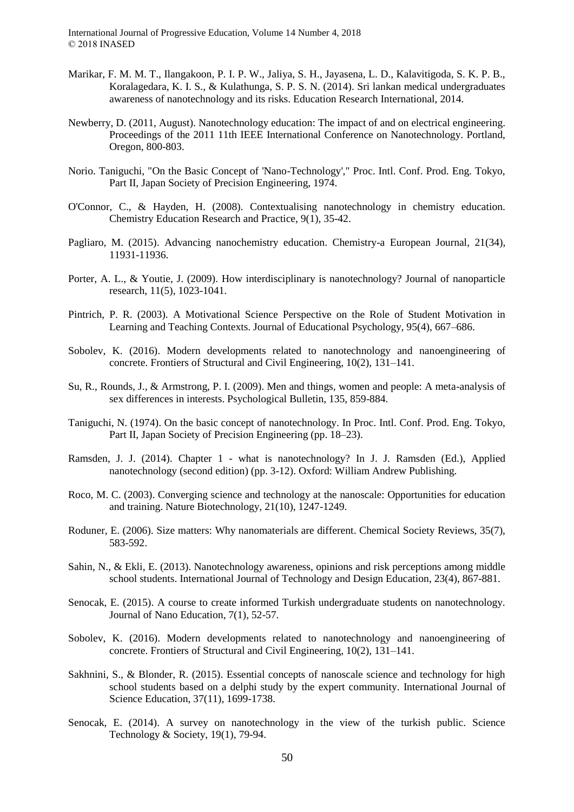International Journal of Progressive Education, Volume 14 Number 4, 2018 © 2018 INASED

- Marikar, F. M. M. T., Ilangakoon, P. I. P. W., Jaliya, S. H., Jayasena, L. D., Kalavitigoda, S. K. P. B., Koralagedara, K. I. S., & Kulathunga, S. P. S. N. (2014). Sri lankan medical undergraduates awareness of nanotechnology and its risks. Education Research International, 2014.
- Newberry, D. (2011, August). Nanotechnology education: The impact of and on electrical engineering. Proceedings of the 2011 11th IEEE International Conference on Nanotechnology. Portland, Oregon, 800-803.
- Norio. Taniguchi, "On the Basic Concept of 'Nano-Technology'," Proc. Intl. Conf. Prod. Eng. Tokyo, Part II, Japan Society of Precision Engineering, 1974.
- O'Connor, C., & Hayden, H. (2008). Contextualising nanotechnology in chemistry education. Chemistry Education Research and Practice, 9(1), 35-42.
- Pagliaro, M. (2015). Advancing nanochemistry education. Chemistry-a European Journal, 21(34), 11931-11936.
- Porter, A. L., & Youtie, J. (2009). How interdisciplinary is nanotechnology? Journal of nanoparticle research, 11(5), 1023-1041.
- Pintrich, P. R. (2003). A Motivational Science Perspective on the Role of Student Motivation in Learning and Teaching Contexts. Journal of Educational Psychology, 95(4), 667–686.
- Sobolev, K. (2016). Modern developments related to nanotechnology and nanoengineering of concrete. Frontiers of Structural and Civil Engineering, 10(2), 131–141.
- Su, R., Rounds, J., & Armstrong, P. I. (2009). Men and things, women and people: A meta-analysis of sex differences in interests. Psychological Bulletin, 135, 859-884.
- Taniguchi, N. (1974). On the basic concept of nanotechnology. In Proc. Intl. Conf. Prod. Eng. Tokyo, Part II, Japan Society of Precision Engineering (pp. 18–23).
- Ramsden, J. J. (2014). Chapter 1 what is nanotechnology? In J. J. Ramsden (Ed.), Applied nanotechnology (second edition) (pp. 3-12). Oxford: William Andrew Publishing.
- Roco, M. C. (2003). Converging science and technology at the nanoscale: Opportunities for education and training. Nature Biotechnology, 21(10), 1247-1249.
- Roduner, E. (2006). Size matters: Why nanomaterials are different. Chemical Society Reviews, 35(7), 583-592.
- Sahin, N., & Ekli, E. (2013). Nanotechnology awareness, opinions and risk perceptions among middle school students. International Journal of Technology and Design Education, 23(4), 867-881.
- Senocak, E. (2015). A course to create informed Turkish undergraduate students on nanotechnology. Journal of Nano Education, 7(1), 52-57.
- Sobolev, K. (2016). Modern developments related to nanotechnology and nanoengineering of concrete. Frontiers of Structural and Civil Engineering, 10(2), 131–141.
- Sakhnini, S., & Blonder, R. (2015). Essential concepts of nanoscale science and technology for high school students based on a delphi study by the expert community. International Journal of Science Education, 37(11), 1699-1738.
- Senocak, E. (2014). A survey on nanotechnology in the view of the turkish public. Science Technology & Society, 19(1), 79-94.